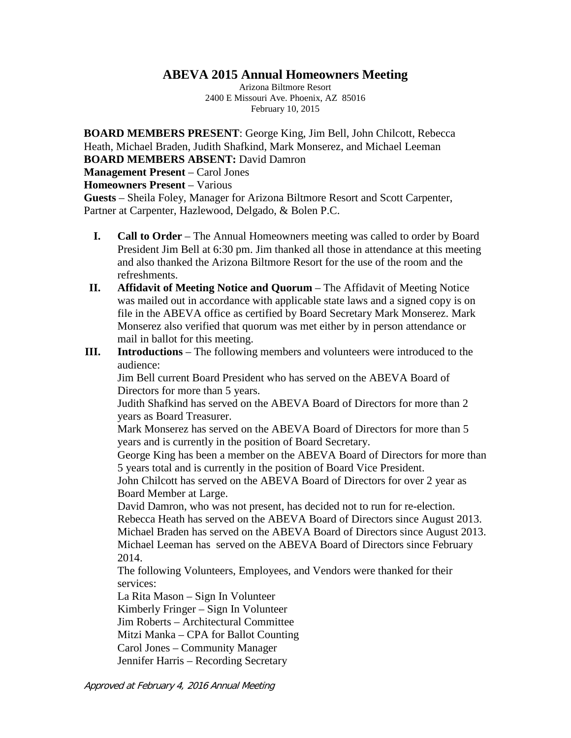## **ABEVA 2015 Annual Homeowners Meeting**

Arizona Biltmore Resort 2400 E Missouri Ave. Phoenix, AZ 85016 February 10, 2015

**BOARD MEMBERS PRESENT**: George King, Jim Bell, John Chilcott, Rebecca Heath, Michael Braden, Judith Shafkind, Mark Monserez, and Michael Leeman **BOARD MEMBERS ABSENT:** David Damron **Management Present** – Carol Jones **Homeowners Present** – Various **Guests** – Sheila Foley, Manager for Arizona Biltmore Resort and Scott Carpenter,

Partner at Carpenter, Hazlewood, Delgado, & Bolen P.C.

- **I. Call to Order** The Annual Homeowners meeting was called to order by Board President Jim Bell at 6:30 pm. Jim thanked all those in attendance at this meeting and also thanked the Arizona Biltmore Resort for the use of the room and the refreshments.
- **II. Affidavit of Meeting Notice and Quorum** The Affidavit of Meeting Notice was mailed out in accordance with applicable state laws and a signed copy is on file in the ABEVA office as certified by Board Secretary Mark Monserez. Mark Monserez also verified that quorum was met either by in person attendance or mail in ballot for this meeting.
- **III. Introductions** The following members and volunteers were introduced to the audience:

Jim Bell current Board President who has served on the ABEVA Board of Directors for more than 5 years.

Judith Shafkind has served on the ABEVA Board of Directors for more than 2 years as Board Treasurer.

Mark Monserez has served on the ABEVA Board of Directors for more than 5 years and is currently in the position of Board Secretary.

George King has been a member on the ABEVA Board of Directors for more than 5 years total and is currently in the position of Board Vice President.

John Chilcott has served on the ABEVA Board of Directors for over 2 year as Board Member at Large.

David Damron, who was not present, has decided not to run for re-election. Rebecca Heath has served on the ABEVA Board of Directors since August 2013. Michael Braden has served on the ABEVA Board of Directors since August 2013. Michael Leeman has served on the ABEVA Board of Directors since February 2014.

The following Volunteers, Employees, and Vendors were thanked for their services:

La Rita Mason – Sign In Volunteer

Kimberly Fringer – Sign In Volunteer Jim Roberts – Architectural Committee

Mitzi Manka – CPA for Ballot Counting

Carol Jones – Community Manager

Jennifer Harris – Recording Secretary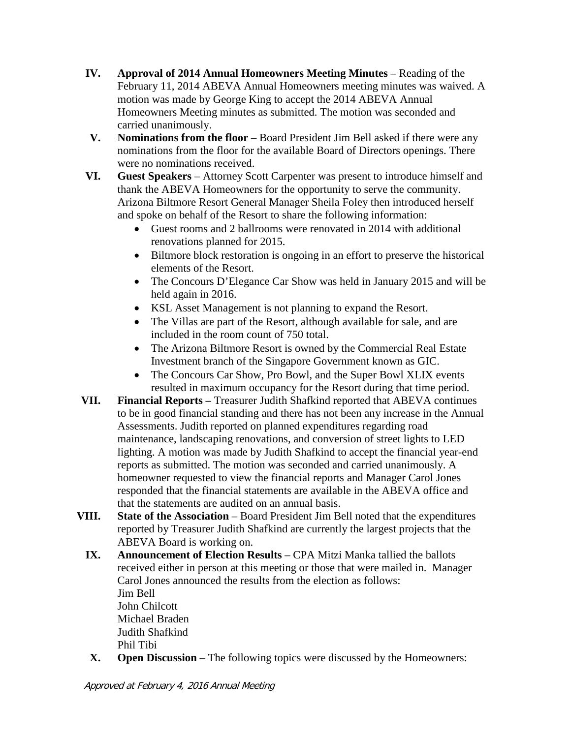- **IV. Approval of 2014 Annual Homeowners Meeting Minutes** Reading of the February 11, 2014 ABEVA Annual Homeowners meeting minutes was waived. A motion was made by George King to accept the 2014 ABEVA Annual Homeowners Meeting minutes as submitted. The motion was seconded and carried unanimously.
- **V. Nominations from the floor** Board President Jim Bell asked if there were any nominations from the floor for the available Board of Directors openings. There were no nominations received.
- **VI. Guest Speakers** Attorney Scott Carpenter was present to introduce himself and thank the ABEVA Homeowners for the opportunity to serve the community. Arizona Biltmore Resort General Manager Sheila Foley then introduced herself and spoke on behalf of the Resort to share the following information:
	- Guest rooms and 2 ballrooms were renovated in 2014 with additional renovations planned for 2015.
	- Biltmore block restoration is ongoing in an effort to preserve the historical elements of the Resort.
	- The Concours D'Elegance Car Show was held in January 2015 and will be held again in 2016.
	- KSL Asset Management is not planning to expand the Resort.
	- The Villas are part of the Resort, although available for sale, and are included in the room count of 750 total.
	- The Arizona Biltmore Resort is owned by the Commercial Real Estate Investment branch of the Singapore Government known as GIC.
	- The Concours Car Show, Pro Bowl, and the Super Bowl XLIX events resulted in maximum occupancy for the Resort during that time period.
- **VII. Financial Reports –** Treasurer Judith Shafkind reported that ABEVA continues to be in good financial standing and there has not been any increase in the Annual Assessments. Judith reported on planned expenditures regarding road maintenance, landscaping renovations, and conversion of street lights to LED lighting. A motion was made by Judith Shafkind to accept the financial year-end reports as submitted. The motion was seconded and carried unanimously. A homeowner requested to view the financial reports and Manager Carol Jones responded that the financial statements are available in the ABEVA office and that the statements are audited on an annual basis.
- **VIII. State of the Association** Board President Jim Bell noted that the expenditures reported by Treasurer Judith Shafkind are currently the largest projects that the ABEVA Board is working on.
	- **IX. Announcement of Election Results** CPA Mitzi Manka tallied the ballots received either in person at this meeting or those that were mailed in. Manager Carol Jones announced the results from the election as follows: Jim Bell John Chilcott Michael Braden Judith Shafkind Phil Tibi
	- **X. Open Discussion** The following topics were discussed by the Homeowners: